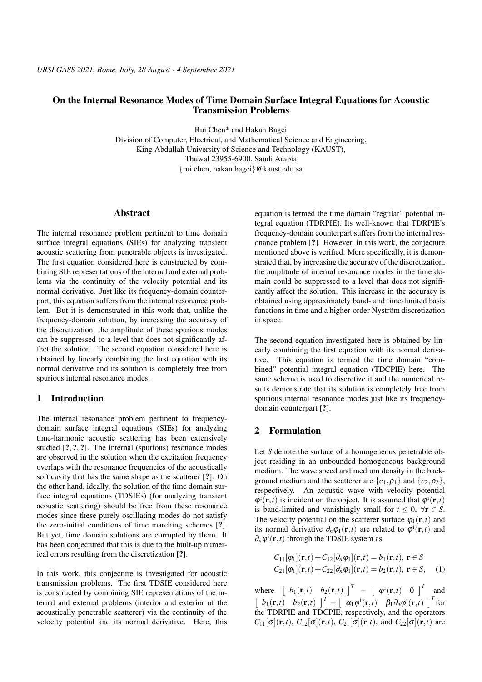## On the Internal Resonance Modes of Time Domain Surface Integral Equations for Acoustic Transmission Problems

Rui Chen\* and Hakan Bagci Division of Computer, Electrical, and Mathematical Science and Engineering, King Abdullah University of Science and Technology (KAUST),

Thuwal 23955-6900, Saudi Arabia

{rui.chen, hakan.bagci}@kaust.edu.sa

#### Abstract

The internal resonance problem pertinent to time domain surface integral equations (SIEs) for analyzing transient acoustic scattering from penetrable objects is investigated. The first equation considered here is constructed by combining SIE representations of the internal and external problems via the continuity of the velocity potential and its normal derivative. Just like its frequency-domain counterpart, this equation suffers from the internal resonance problem. But it is demonstrated in this work that, unlike the frequency-domain solution, by increasing the accuracy of the discretization, the amplitude of these spurious modes can be suppressed to a level that does not significantly affect the solution. The second equation considered here is obtained by linearly combining the first equation with its normal derivative and its solution is completely free from spurious internal resonance modes.

### 1 Introduction

The internal resonance problem pertinent to frequencydomain surface integral equations (SIEs) for analyzing time-harmonic acoustic scattering has been extensively studied [?, ?, ?]. The internal (spurious) resonance modes are observed in the solution when the excitation frequency overlaps with the resonance frequencies of the acoustically soft cavity that has the same shape as the scatterer [?]. On the other hand, ideally, the solution of the time domain surface integral equations (TDSIEs) (for analyzing transient acoustic scattering) should be free from these resonance modes since these purely oscillating modes do not satisfy the zero-initial conditions of time marching schemes [?]. But yet, time domain solutions are corrupted by them. It has been conjectured that this is due to the built-up numerical errors resulting from the discretization [?].

In this work, this conjecture is investigated for acoustic transmission problems. The first TDSIE considered here is constructed by combining SIE representations of the internal and external problems (interior and exterior of the acoustically penetrable scatterer) via the continuity of the velocity potential and its normal derivative. Here, this

equation is termed the time domain "regular" potential integral equation (TDRPIE). Its well-known that TDRPIE's frequency-domain counterpart suffers from the internal resonance problem [?]. However, in this work, the conjecture mentioned above is verified. More specifically, it is demonstrated that, by increasing the accuracy of the discretization, the amplitude of internal resonance modes in the time domain could be suppressed to a level that does not significantly affect the solution. This increase in the accuracy is obtained using approximately band- and time-limited basis functions in time and a higher-order Nyström discretization in space.

The second equation investigated here is obtained by linearly combining the first equation with its normal derivative. This equation is termed the time domain "combined" potential integral equation (TDCPIE) here. The same scheme is used to discretize it and the numerical results demonstrate that its solution is completely free from spurious internal resonance modes just like its frequencydomain counterpart [?].

# 2 Formulation

Let *S* denote the surface of a homogeneous penetrable object residing in an unbounded homogeneous background medium. The wave speed and medium density in the background medium and the scatterer are  $\{c_1, \rho_1\}$  and  $\{c_2, \rho_2\}$ , respectively. An acoustic wave with velocity potential  $\varphi^i(\mathbf{r},t)$  is incident on the object. It is assumed that  $\varphi^i(\mathbf{r},t)$ is band-limited and vanishingly small for  $t \leq 0$ ,  $\forall r \in S$ . The velocity potential on the scatterer surface  $\varphi_1(\mathbf{r},t)$  and its normal derivative  $\partial_n \varphi_1(\mathbf{r},t)$  are related to  $\varphi^i(\mathbf{r},t)$  and  $\partial_n \varphi^i(\mathbf{r}, t)$  through the TDSIE system as

$$
C_{11}[\varphi_1](\mathbf{r},t) + C_{12}[\partial_n \varphi_1](\mathbf{r},t) = b_1(\mathbf{r},t), \mathbf{r} \in S
$$
  
\n
$$
C_{21}[\varphi_1](\mathbf{r},t) + C_{22}[\partial_n \varphi_1](\mathbf{r},t) = b_2(\mathbf{r},t), \mathbf{r} \in S,
$$
 (1)

where  $\begin{bmatrix} b_1(\mathbf{r},t) & b_2(\mathbf{r},t) \end{bmatrix}^T = \begin{bmatrix} \varphi^i(\mathbf{r},t) & 0 \end{bmatrix}^T$  and  $\begin{bmatrix} b_1(\mathbf{r},t) & b_2(\mathbf{r},t) \end{bmatrix}^T = \begin{bmatrix} \alpha_1\varphi^i(\mathbf{r},t) & \beta_1\partial_n\varphi^i(\mathbf{r},t) \end{bmatrix}^T$  for the TDRPIE and TDCPIE, respectively, and the operators  $C_{11}[\sigma](\mathbf{r},t)$ ,  $C_{12}[\sigma](\mathbf{r},t)$ ,  $C_{21}[\sigma](\mathbf{r},t)$ , and  $C_{22}[\sigma](\mathbf{r},t)$  are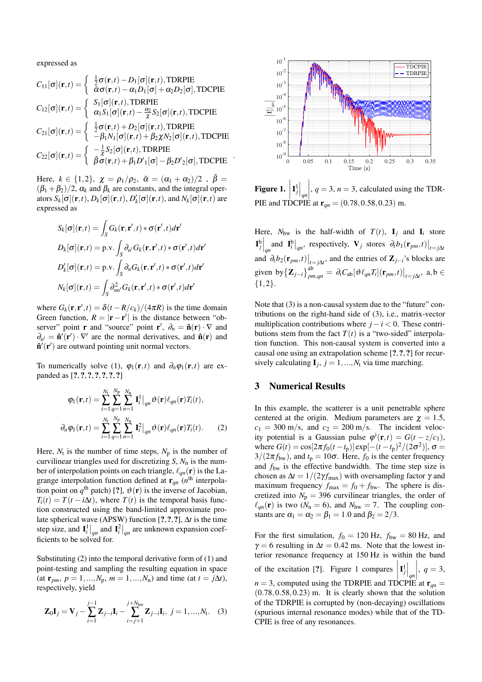expressed as

$$
C_{11}[\sigma](\mathbf{r},t) = \begin{cases} \frac{1}{2}\sigma(\mathbf{r},t) - D_1[\sigma](\mathbf{r},t), \text{TDRPIE} \\ \bar{\alpha}\sigma(\mathbf{r},t) - \alpha_1D_1[\sigma] + \alpha_2D_2[\sigma], \text{TDCPIE} \end{cases}
$$
  
\n
$$
C_{12}[\sigma](\mathbf{r},t) = \begin{cases} S_1[\sigma](\mathbf{r},t), \text{TDRPIE} \\ \alpha_1S_1[\sigma](\mathbf{r},t) - \frac{\alpha_2}{\chi}S_2[\sigma](\mathbf{r},t), \text{TDCPIE} \end{cases}
$$
  
\n
$$
C_{21}[\sigma](\mathbf{r},t) = \begin{cases} \frac{1}{2}\sigma(\mathbf{r},t) + D_2[\sigma](\mathbf{r},t), \text{TDRPIE} \\ -\beta_1N_1[\sigma](\mathbf{r},t) + \beta_2\chi N_2[\sigma](\mathbf{r},t), \text{TDCPIE} \end{cases}
$$
  
\n
$$
C_{22}[\sigma](\mathbf{r},t) = \begin{cases} -\frac{1}{\chi}S_2[\sigma](\mathbf{r},t), \text{TDRPIE} \\ \bar{\beta}\sigma(\mathbf{r},t) + \beta_1D'_1[\sigma] - \beta_2D'_2[\sigma], \text{TDCPIE} \end{cases}
$$

.

Here,  $k \in \{1,2\}$ ,  $\chi = \rho_1/\rho_2$ ,  $\bar{\alpha} = (\alpha_1 + \alpha_2)/2$ ,  $\bar{\beta} =$  $(\beta_1 + \beta_2)/2$ ,  $\alpha_k$  and  $\beta_k$  are constants, and the integral operators  $S_k[\sigma](\mathbf{r},t)$ ,  $D_k[\sigma](\mathbf{r},t)$ ,  $D'_k[\sigma](\mathbf{r},t)$ , and  $N_k[\sigma](\mathbf{r},t)$  are expressed as

$$
S_k[\sigma](\mathbf{r},t) = \int_S G_k(\mathbf{r},\mathbf{r}',t) * \sigma(\mathbf{r}',t) d\mathbf{r}'
$$
  
\n
$$
D_k[\sigma](\mathbf{r},t) = \text{p.v.} \int_S \partial_{n'} G_k(\mathbf{r},\mathbf{r}',t) * \sigma(\mathbf{r}',t) d\mathbf{r}'
$$
  
\n
$$
D'_k[\sigma](\mathbf{r},t) = \text{p.v.} \int_S \partial_n G_k(\mathbf{r},\mathbf{r}',t) * \sigma(\mathbf{r}',t) d\mathbf{r}'
$$
  
\n
$$
N_k[\sigma](\mathbf{r},t) = \int_S \partial_{nn'}^2 G_k(\mathbf{r},\mathbf{r}',t) * \sigma(\mathbf{r}',t) d\mathbf{r}'
$$

where  $G_k(\mathbf{r}, \mathbf{r}', t) = \delta(t - R/c_k)/(4\pi R)$  is the time domain Green function,  $R = |\mathbf{r} - \mathbf{r}'|$  is the distance between "observer" point **r** and "source" point **r'**,  $\partial_n = \hat{\mathbf{n}}(\mathbf{r}) \cdot \nabla$  and  $\partial_{n'} = \hat{\mathbf{n}}'(\mathbf{r}') \cdot \nabla'$  are the normal derivatives, and  $\hat{\mathbf{n}}(\mathbf{r})$  and  $\mathbf{\hat{n}}'(\mathbf{r}')$  are outward pointing unit normal vectors.

To numerically solve (1),  $\varphi_1(\mathbf{r},t)$  and  $\partial_n \varphi_1(\mathbf{r},t)$  are expanded as [?, ?, ?, ?, ?, ?, ?]

$$
\varphi_1(\mathbf{r},t) = \sum_{i=1}^{N_{\rm t}} \sum_{q=1}^{N_{\rm p}} \sum_{n=1}^{N_{\rm n}} \mathbf{I}_i^1 \big|_{qn} \vartheta(\mathbf{r}) \ell_{qn}(\mathbf{r}) T_i(t),
$$

$$
\partial_n \varphi_1(\mathbf{r},t) = \sum_{i=1}^{N_{\rm t}} \sum_{q=1}^{N_{\rm p}} \sum_{n=1}^{N_{\rm n}} \mathbf{I}_i^2 \big|_{qn} \vartheta(\mathbf{r}) \ell_{qn}(\mathbf{r}) T_i(t). \tag{2}
$$

Here,  $N_t$  is the number of time steps,  $N_p$  is the number of curvilinear triangles used for discretizing *S*, *N*<sup>n</sup> is the number of interpolation points on each triangle,  $\ell_{qn}(\mathbf{r})$  is the Lagrange interpolation function defined at  $\mathbf{r}_{qn}$  ( $n^{\text{th}}$  interpolation point on  $q^{\text{th}}$  patch) [?],  $\vartheta(\mathbf{r})$  is the inverse of Jacobian,  $T_i(t) = T(t - i\Delta t)$ , where  $T(t)$  is the temporal basis function constructed using the band-limited approximate prolate spherical wave (APSW) function [?,?,?], ∆*t* is the time step size, and  $\mathbf{I}_i^1|_{qn}$  and  $\mathbf{I}_i^2|_{qn}$  are unknown expansion coefficients to be solved for.

Substituting (2) into the temporal derivative form of (1) and point-testing and sampling the resulting equation in space  $(\text{at } r_{pm}, p = 1, ..., N_p, m = 1, ..., N_n)$  and time (at  $t = j\Delta t$ ), respectively, yield

$$
\mathbf{Z}_{0}\mathbf{I}_{j} = \mathbf{V}_{j} - \sum_{i=1}^{j-1} \mathbf{Z}_{j-i}\mathbf{I}_{i} - \sum_{i=j+1}^{j+N_{\text{hw}}} \mathbf{Z}_{j-i}\mathbf{I}_{i}, \ j = 1, ..., N_{t}.
$$
 (3)



Figure 1.  $\Big\vert$  $\left.\mathbf{I}_j^1\right|_{qn}$  $\begin{array}{c} \hline \end{array}$ ,  $q = 3$ ,  $n = 3$ , calculated using the TDR-PIE and TDCPIE at  $r_{qn} = (0.78, 0.58, 0.23)$  m.

Here,  $N_{\text{hw}}$  is the half-width of  $T(t)$ ,  $I_j$  and  $I_i$  store  $\left.\mathbf{I}_{j}^{\mathrm{b}}\right|_{qn}$  and  $\left.\mathbf{I}_{i}^{\mathrm{b}}\right|_{qn}$ , respectively,  $\mathbf{V}_{j}$  stores  $\left.\partial_{t}b_{1}(\mathbf{r}_{pm},t)\right|_{t=j\Delta t}$ and  $\partial_t b_2(\mathbf{r}_{pm}, t)|_{t=j\Delta t}$ , and the entries of  $\mathbf{Z}_{j-i}$ 's blocks are given by  $\left\{ \mathbf{Z}_{j-i} \right\}^{ab}_{pm,qn} = \partial_t C_{ab} [\vartheta \ell_{qn} T_i] (\mathbf{r}_{pm}, t) \big|_{t=j\Delta t}, \text{ a,b} \in$  ${1,2}.$ 

Note that (3) is a non-causal system due to the "future" contributions on the right-hand side of (3), i.e., matrix-vector multiplication contributions where  $j - i < 0$ . These contributions stem from the fact  $T(t)$  is a "two-sided" interpolation function. This non-causal system is converted into a causal one using an extrapolation scheme [?,?,?] for recursively calculating  $I_j$ ,  $j = 1, ..., N_t$  via time marching.

# 3 Numerical Results

In this example, the scatterer is a unit penetrable sphere centered at the origin. Medium parameters are  $\gamma = 1.5$ ,  $c_1 = 300$  m/s, and  $c_2 = 200$  m/s. The incident velocity potential is a Gaussian pulse  $\varphi^i(\mathbf{r},t) = G(t - z/c_1)$ , where  $G(t) = \cos[2\pi f_0(t - t_p)] \exp[-(t - t_p)^2/(2\sigma^2)]$ ,  $\sigma =$  $3/(2\pi f_{bw})$ , and  $t_p = 10\sigma$ . Here,  $f_0$  is the center frequency and  $f_{\text{bw}}$  is the effective bandwidth. The time step size is chosen as  $\Delta t = 1/(2\gamma f_{\text{max}})$  with oversampling factor  $\gamma$  and maximum frequency  $f_{\text{max}} = f_0 + f_{\text{bw}}$ . The sphere is discretized into  $N_p = 396$  curvilinear triangles, the order of  $\ell_{qn}(\mathbf{r})$  is two ( $N_n = 6$ ), and  $N_{hw} = 7$ . The coupling constants are  $\alpha_1 = \alpha_2 = \beta_1 = 1.0$  and  $\beta_2 = 2/3$ .

For the first simulation,  $f_0 = 120$  Hz,  $f_{bw} = 80$  Hz, and  $\gamma = 6$  resulting in  $\Delta t = 0.42$  ms. Note that the lowest interior resonance frequency at 150 Hz is within the band of the excitation [?]. Figure 1 compares  $\overline{\phantom{a}}$  $\left|\mathbf{I}_j^1\right|_{qn}$  $n = 3$ , computed using the TDRPIE and TDCPIE at  $\mathbf{r}_{qn} =$  $\begin{array}{c} \n\end{array}$ , *q* = 3,  $(0.78, 0.58, 0.23)$  m. It is clearly shown that the solution of the TDRPIE is corrupted by (non-decaying) oscillations (spurious internal resonance modes) while that of the TD-CPIE is free of any resonances.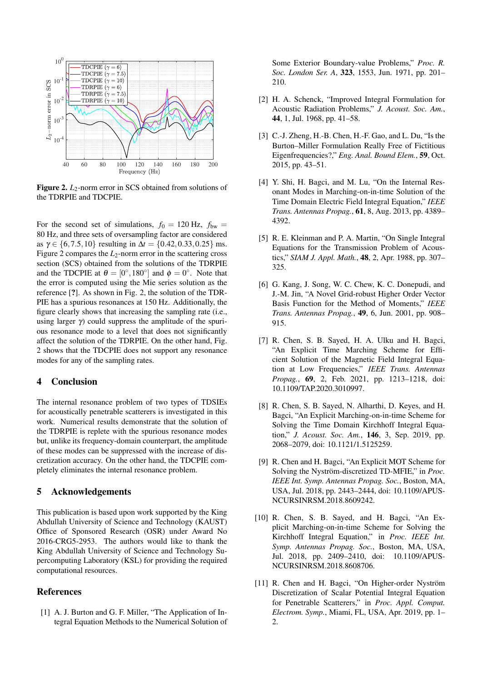

Figure 2. *L*<sub>2</sub>-norm error in SCS obtained from solutions of the TDRPIE and TDCPIE.

For the second set of simulations,  $f_0 = 120$  Hz,  $f_{bw} =$ 80 Hz, and three sets of oversampling factor are considered as  $\gamma \in \{6, 7.5, 10\}$  resulting in  $\Delta t = \{0.42, 0.33, 0.25\}$  ms. Figure 2 compares the  $L_2$ -norm error in the scattering cross section (SCS) obtained from the solutions of the TDRPIE and the TDCPIE at  $\theta = [0^{\circ}, 180^{\circ}]$  and  $\phi = 0^{\circ}$ . Note that the error is computed using the Mie series solution as the reference [?]. As shown in Fig. 2, the solution of the TDR-PIE has a spurious resonances at 150 Hz. Additionally, the figure clearly shows that increasing the sampling rate (i.e., using larger  $\gamma$ ) could suppress the amplitude of the spurious resonance mode to a level that does not significantly affect the solution of the TDRPIE. On the other hand, Fig. 2 shows that the TDCPIE does not support any resonance modes for any of the sampling rates.

### 4 Conclusion

The internal resonance problem of two types of TDSIEs for acoustically penetrable scatterers is investigated in this work. Numerical results demonstrate that the solution of the TDRPIE is replete with the spurious resonance modes but, unlike its frequency-domain counterpart, the amplitude of these modes can be suppressed with the increase of discretization accuracy. On the other hand, the TDCPIE completely eliminates the internal resonance problem.

### 5 Acknowledgements

This publication is based upon work supported by the King Abdullah University of Science and Technology (KAUST) Office of Sponsored Research (OSR) under Award No 2016-CRG5-2953. The authors would like to thank the King Abdullah University of Science and Technology Supercomputing Laboratory (KSL) for providing the required computational resources.

### References

[1] A. J. Burton and G. F. Miller, "The Application of Integral Equation Methods to the Numerical Solution of Some Exterior Boundary-value Problems," *Proc. R. Soc. London Ser. A*, 323, 1553, Jun. 1971, pp. 201– 210.

- [2] H. A. Schenck, "Improved Integral Formulation for Acoustic Radiation Problems," *J. Acoust. Soc. Am.*, 44, 1, Jul. 1968, pp. 41–58.
- [3] C.-J. Zheng, H.-B. Chen, H.-F. Gao, and L. Du, "Is the Burton–Miller Formulation Really Free of Fictitious Eigenfrequencies?," *Eng. Anal. Bound Elem.*, 59, Oct. 2015, pp. 43–51.
- [4] Y. Shi, H. Bagci, and M. Lu, "On the Internal Resonant Modes in Marching-on-in-time Solution of the Time Domain Electric Field Integral Equation," *IEEE Trans. Antennas Propag.*, 61, 8, Aug. 2013, pp. 4389– 4392.
- [5] R. E. Kleinman and P. A. Martin, "On Single Integral Equations for the Transmission Problem of Acoustics," *SIAM J. Appl. Math.*, 48, 2, Apr. 1988, pp. 307– 325.
- [6] G. Kang, J. Song, W. C. Chew, K. C. Donepudi, and J.-M. Jin, "A Novel Grid-robust Higher Order Vector Basis Function for the Method of Moments," *IEEE Trans. Antennas Propag.*, 49, 6, Jun. 2001, pp. 908– 915.
- [7] R. Chen, S. B. Sayed, H. A. Ulku and H. Bagci, "An Explicit Time Marching Scheme for Efficient Solution of the Magnetic Field Integral Equation at Low Frequencies," *IEEE Trans. Antennas Propag.*, 69, 2, Feb. 2021, pp. 1213–1218, doi: 10.1109/TAP.2020.3010997.
- [8] R. Chen, S. B. Sayed, N. Alharthi, D. Keyes, and H. Bagci, "An Explicit Marching-on-in-time Scheme for Solving the Time Domain Kirchhoff Integral Equation," *J. Acoust. Soc. Am.*, 146, 3, Sep. 2019, pp. 2068–2079, doi: 10.1121/1.5125259.
- [9] R. Chen and H. Bagci, "An Explicit MOT Scheme for Solving the Nyström-discretized TD-MFIE," in *Proc. IEEE Int. Symp. Antennas Propag. Soc.*, Boston, MA, USA, Jul. 2018, pp. 2443–2444, doi: 10.1109/APUS-NCURSINRSM.2018.8609242.
- [10] R. Chen, S. B. Sayed, and H. Bagci, "An Explicit Marching-on-in-time Scheme for Solving the Kirchhoff Integral Equation," in *Proc. IEEE Int. Symp. Antennas Propag. Soc.*, Boston, MA, USA, Jul. 2018, pp. 2409–2410, doi: 10.1109/APUS-NCURSINRSM.2018.8608706.
- [11] R. Chen and H. Bagci, "On Higher-order Nyström Discretization of Scalar Potential Integral Equation for Penetrable Scatterers," in *Proc. Appl. Comput. Electrom. Symp.*, Miami, FL, USA, Apr. 2019, pp. 1– 2.